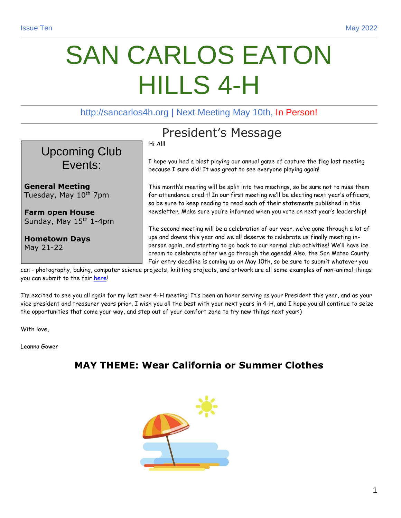# SAN CARLOS EATON HILLS 4-H

http://sancarlos4h.org | Next Meeting May 10th, In Person!



**Farm open House**  Sunday, May 15<sup>th</sup> 1-4pm

**Hometown Days**  May 21-22

# President's Message

Hi All!

I hope you had a blast playing our annual game of capture the flag last meeting because I sure did! It was great to see everyone playing again!

This month's meeting will be split into two meetings, so be sure not to miss them for attendance credit! In our first meeting we'll be electing next year's officers, so be sure to keep reading to read each of their statements published in this newsletter. Make sure you're informed when you vote on next year's leadership!

The second meeting will be a celebration of our year, we've gone through a lot of ups and downs this year and we all deserve to celebrate us finally meeting inperson again, and starting to go back to our normal club activities! We'll have ice cream to celebrate after we go through the agenda! Also, the San Mateo County Fair entry deadline is coming up on May 10th, so be sure to submit whatever you

can - photography, baking, computer science projects, knitting projects, and artwork are all some examples of non-animal things you can submit to the fair [here!](https://sanmateocountyfair.com/)

I'm excited to see you all again for my last ever 4-H meeting! It's been an honor serving as your President this year, and as your vice president and treasurer years prior, I wish you all the best with your next years in 4-H, and I hope you all continue to seize the opportunities that come your way, and step out of your comfort zone to try new things next year:)

With love,

Leanna Gower

## **MAY THEME: Wear California or Summer Clothes**

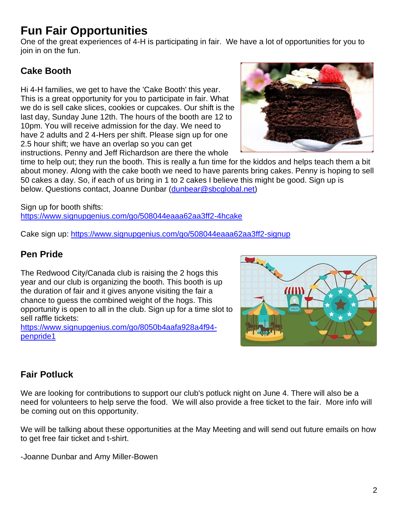# **Fun Fair Opportunities**

One of the great experiences of 4-H is participating in fair. We have a lot of opportunities for you to join in on the fun.

## **Cake Booth**

Hi 4-H families, we get to have the 'Cake Booth' this year. This is a great opportunity for you to participate in fair. What we do is sell cake slices, cookies or cupcakes. Our shift is the last day, Sunday June 12th. The hours of the booth are 12 to 10pm. You will receive admission for the day. We need to have 2 adults and 2 4-Hers per shift. Please sign up for one 2.5 hour shift; we have an overlap so you can get instructions. Penny and Jeff Richardson are there the whole



time to help out; they run the booth. This is really a fun time for the kiddos and helps teach them a bit about money. Along with the cake booth we need to have parents bring cakes. Penny is hoping to sell 50 cakes a day. So, if each of us bring in 1 to 2 cakes I believe this might be good. Sign up is below. Questions contact, Joanne Dunbar [\(dunbear@sbcglobal.net\)](mailto:dunbear@sbcglobal.net)

Sign up for booth shifts: <https://www.signupgenius.com/go/508044eaaa62aa3ff2-4hcake>

Cake sign up:<https://www.signupgenius.com/go/508044eaaa62aa3ff2-signup>

#### **Pen Pride**

The Redwood City/Canada club is raising the 2 hogs this year and our club is organizing the booth. This booth is up the duration of fair and it gives anyone visiting the fair a chance to guess the combined weight of the hogs. This opportunity is open to all in the club. Sign up for a time slot to sell raffle tickets:

[https://www.signupgenius.com/go/8050b4aafa928a4f94](https://www.signupgenius.com/go/8050b4aafa928a4f94-penpride1) [penpride1](https://www.signupgenius.com/go/8050b4aafa928a4f94-penpride1)



## **Fair Potluck**

We are looking for contributions to support our club's potluck night on June 4. There will also be a need for volunteers to help serve the food. We will also provide a free ticket to the fair. More info will be coming out on this opportunity.

We will be talking about these opportunities at the May Meeting and will send out future emails on how to get free fair ticket and t-shirt.

-Joanne Dunbar and Amy Miller-Bowen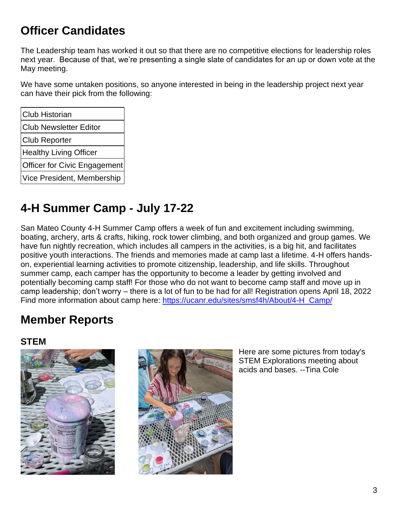# **Officer Candidates**

The Leadership team has worked it out so that there are no competitive elections for leadership roles next year. Because of that, we're presenting a single slate of candidates for an up or down vote at the May meeting.

We have some untaken positions, so anyone interested in being in the leadership project next year can have their pick from the following:

# **4-H Summer Camp - July 17-22**

San Mateo County 4-H Summer Camp offers a week of fun and excitement including swimming, boating, archery, arts & crafts, hiking, rock tower climbing, and both organized and group games. We have fun nightly recreation, which includes all campers in the activities, is a big hit, and facilitates positive youth interactions. The friends and memories made at camp last a lifetime. 4-H offers handson, experiential learning activities to promote citizenship, leadership, and life skills. Throughout summer camp, each camper has the opportunity to become a leader by getting involved and potentially becoming camp staff! For those who do not want to become camp staff and move up in camp leadership; don't worry – there is a lot of fun to be had for all! Registration opens April 18, 2022 Find more information about camp here: [https://ucanr.edu/sites/smsf4h/About/4-H\\_Camp/](https://ucanr.edu/sites/smsf4h/About/4-H_Camp/)

# **Member Reports**

#### **STEM**





Here are some pictures from today's STEM Explorations meeting about acids and bases. --Tina Cole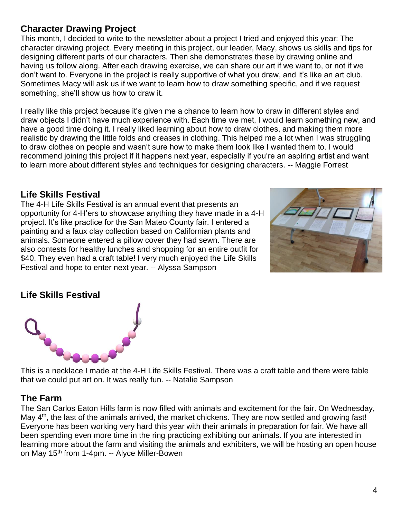## **Character Drawing Project**

This month, I decided to write to the newsletter about a project I tried and enjoyed this year: The character drawing project. Every meeting in this project, our leader, Macy, shows us skills and tips for designing different parts of our characters. Then she demonstrates these by drawing online and having us follow along. After each drawing exercise, we can share our art if we want to, or not if we don't want to. Everyone in the project is really supportive of what you draw, and it's like an art club. Sometimes Macy will ask us if we want to learn how to draw something specific, and if we request something, she'll show us how to draw it.

I really like this project because it's given me a chance to learn how to draw in different styles and draw objects I didn't have much experience with. Each time we met, I would learn something new, and have a good time doing it. I really liked learning about how to draw clothes, and making them more realistic by drawing the little folds and creases in clothing. This helped me a lot when I was struggling to draw clothes on people and wasn't sure how to make them look like I wanted them to. I would recommend joining this project if it happens next year, especially if you're an aspiring artist and want to learn more about different styles and techniques for designing characters. -- Maggie Forrest

#### **Life Skills Festival**

The 4-H Life Skills Festival is an annual event that presents an opportunity for 4-H'ers to showcase anything they have made in a 4-H project. It's like practice for the San Mateo County fair. I entered a painting and a faux clay collection based on Californian plants and animals. Someone entered a pillow cover they had sewn. There are also contests for healthy lunches and shopping for an entire outfit for \$40. They even had a craft table! I very much enjoyed the Life Skills Festival and hope to enter next year. -- Alyssa Sampson



#### **Life Skills Festival**



This is a necklace I made at the 4-H Life Skills Festival. There was a craft table and there were table that we could put art on. It was really fun. -- Natalie Sampson

#### **The Farm**

The San Carlos Eaton Hills farm is now filled with animals and excitement for the fair. On Wednesday, May 4<sup>th</sup>, the last of the animals arrived, the market chickens. They are now settled and growing fast! Everyone has been working very hard this year with their animals in preparation for fair. We have all been spending even more time in the ring practicing exhibiting our animals. If you are interested in learning more about the farm and visiting the animals and exhibiters, we will be hosting an open house on May 15<sup>th</sup> from 1-4pm. -- Alyce Miller-Bowen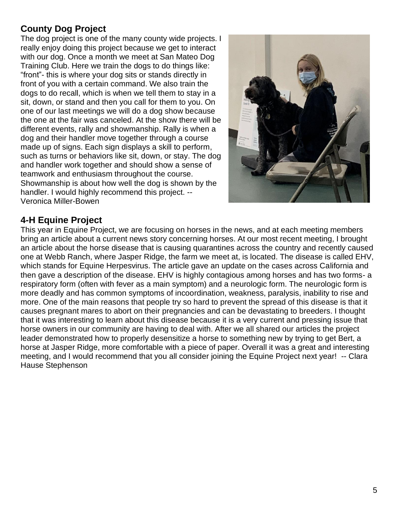## **County Dog Project**

The dog project is one of the many county wide projects. I really enjoy doing this project because we get to interact with our dog. Once a month we meet at San Mateo Dog Training Club. Here we train the dogs to do things like: "front"- this is where your dog sits or stands directly in front of you with a certain command. We also train the dogs to do recall, which is when we tell them to stay in a sit, down, or stand and then you call for them to you. On one of our last meetings we will do a dog show because the one at the fair was canceled. At the show there will be different events, rally and showmanship. Rally is when a dog and their handler move together through a course made up of signs. Each sign displays a skill to perform, such as turns or behaviors like sit, down, or stay. The dog and handler work together and should show a sense of teamwork and enthusiasm throughout the course. Showmanship is about how well the dog is shown by the handler. I would highly recommend this project. -- Veronica Miller-Bowen



#### **4-H Equine Project**

This year in Equine Project, we are focusing on horses in the news, and at each meeting members bring an article about a current news story concerning horses. At our most recent meeting, I brought an article about the horse disease that is causing quarantines across the country and recently caused one at Webb Ranch, where Jasper Ridge, the farm we meet at, is located. The disease is called EHV, which stands for Equine Herpesvirus. The article gave an update on the cases across California and then gave a description of the disease. EHV is highly contagious among horses and has two forms- a respiratory form (often with fever as a main symptom) and a neurologic form. The neurologic form is more deadly and has common symptoms of incoordination, weakness, paralysis, inability to rise and more. One of the main reasons that people try so hard to prevent the spread of this disease is that it causes pregnant mares to abort on their pregnancies and can be devastating to breeders. I thought that it was interesting to learn about this disease because it is a very current and pressing issue that horse owners in our community are having to deal with. After we all shared our articles the project leader demonstrated how to properly desensitize a horse to something new by trying to get Bert, a horse at Jasper Ridge, more comfortable with a piece of paper. Overall it was a great and interesting meeting, and I would recommend that you all consider joining the Equine Project next year! -- Clara Hause Stephenson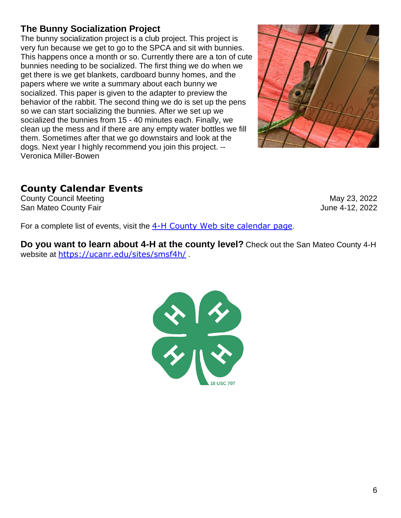# **The Bunny Socialization Project**

The bunny socialization project is a club project. This project is very fun because we get to go to the SPCA and sit with bunnies. This happens once a month or so. Currently there are a ton of cute bunnies needing to be socialized. The first thing we do when we get there is we get blankets, cardboard bunny homes, and the papers where we write a summary about each bunny we socialized. This paper is given to the adapter to preview the behavior of the rabbit. The second thing we do is set up the pens so we can start socializing the bunnies. After we set up we socialized the bunnies from 15 - 40 minutes each. Finally, we clean up the mess and if there are any empty water bottles we fill them. Sometimes after that we go downstairs and look at the dogs. Next year I highly recommend you join this project. -- Veronica Miller-Bowen



## **County Calendar Events**

County Council Meeting May 23, 2022 San Mateo County Fair **San Mateo County Fair** And The San Mateo County Fair And The San Mateo County Fair And The San Mateo County Fair And The San Mateo County Fair And The San Mateo County Fair And The San Mateo County F

For a complete list of events, visit the [4-H County Web site calendar page](https://ucanr.edu/sites/smsf4h/Calendar_/).

**Do you want to learn about 4-H at the county level?** Check out the San Mateo County 4-H website at <https://ucanr.edu/sites/smsf4h/>.